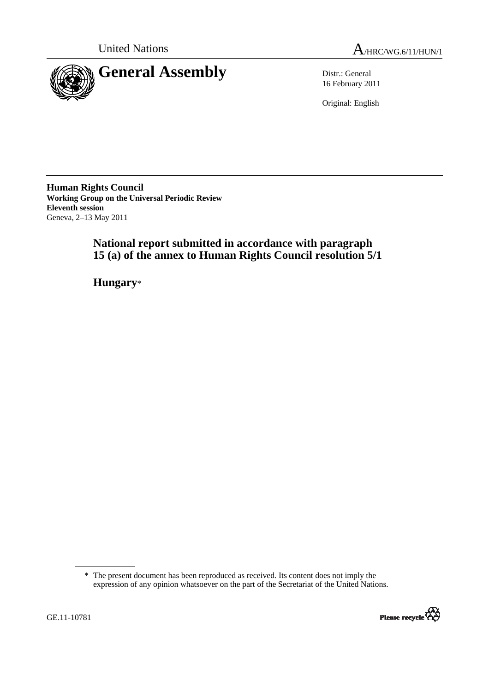



16 February 2011

Original: English

**Human Rights Council Working Group on the Universal Periodic Review Eleventh session**  Geneva, 2–13 May 2011

# **National report submitted in accordance with paragraph 15 (a) of the annex to Human Rights Council resolution 5/1**

 **Hungary**\*

<sup>\*</sup> The present document has been reproduced as received. Its content does not imply the expression of any opinion whatsoever on the part of the Secretariat of the United Nations.

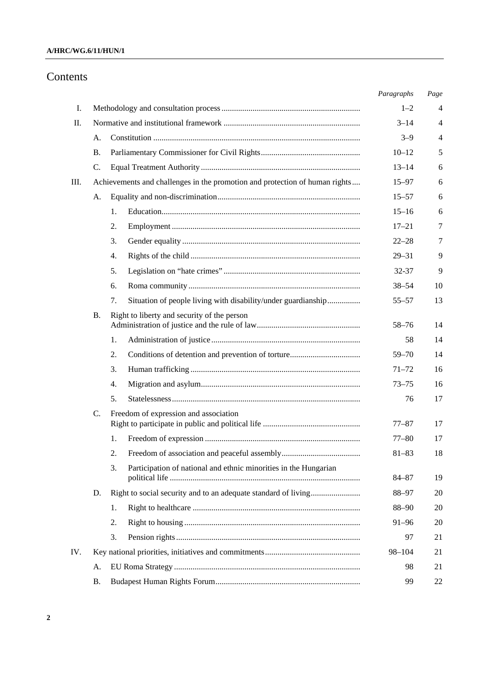# **A/HRC/WG.6/11/HUN/1**

# Contents

|     |    |                                                                             | Paragraphs             | Page           |
|-----|----|-----------------------------------------------------------------------------|------------------------|----------------|
| Ι.  |    |                                                                             | $1 - 2$                | 4              |
| П.  |    |                                                                             | $3 - 14$               | $\overline{4}$ |
|     | А. |                                                                             | $3 - 9$                | $\overline{4}$ |
|     | В. |                                                                             | $10 - 12$              | 5              |
|     | C. |                                                                             | $13 - 14$              | 6              |
| Ш.  |    | Achievements and challenges in the promotion and protection of human rights | $15 - 97$              | 6              |
|     | А. |                                                                             | $15 - 57$              | 6              |
|     |    | 1.                                                                          | $15 - 16$              | 6              |
|     |    | 2.                                                                          | $17 - 21$              | 7              |
|     |    | 3.                                                                          | $22 - 28$              | 7              |
|     |    | 4.                                                                          | $29 - 31$              | 9              |
|     |    | 5.                                                                          | 32-37                  | 9              |
|     |    | 6.                                                                          | $38 - 54$              | 10             |
|     |    | Situation of people living with disability/under guardianship<br>7.         | $55 - 57$              | 13             |
|     | В. | Right to liberty and security of the person                                 | $58 - 76$              | 14             |
|     |    | 1.                                                                          | 58                     | 14             |
|     |    | 2.                                                                          | $59 - 70$              | 14             |
|     |    |                                                                             |                        | 16             |
|     |    | 3.                                                                          | $71 - 72$<br>$73 - 75$ | 16             |
|     |    | 4.<br>5.                                                                    |                        |                |
|     |    |                                                                             | 76                     | 17             |
|     | C. | Freedom of expression and association                                       | $77 - 87$              | 17             |
|     |    | 1.                                                                          | $77 - 80$              | 17             |
|     |    | 2.                                                                          | $81 - 83$              | 18             |
|     |    | 3.<br>Participation of national and ethnic minorities in the Hungarian      |                        |                |
|     |    |                                                                             | $84 - 87$              | 19             |
|     | D. | Right to social security and to an adequate standard of living              | 88-97                  | 20             |
|     |    | 1.                                                                          | 88-90                  | 20             |
|     |    | 2.                                                                          | $91 - 96$              | 20             |
|     |    | 3.                                                                          | 97                     | 21             |
| IV. |    |                                                                             | 98-104                 | 21             |
|     | А. |                                                                             | 98                     | 21             |
|     | Β. |                                                                             | 99                     | 22             |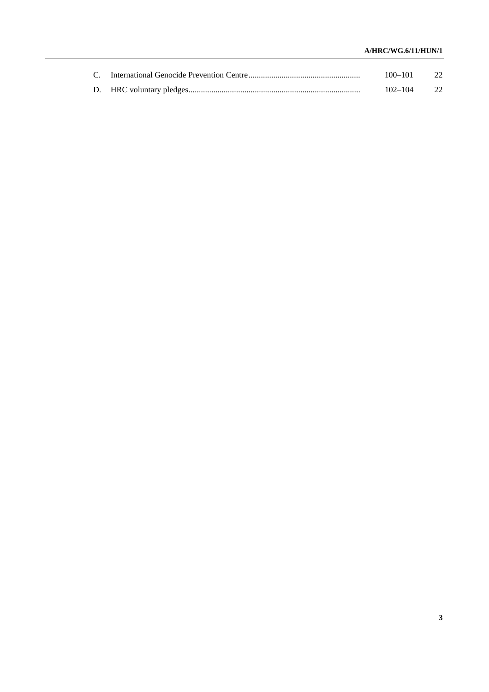# **A/HRC/WG.6/11/HUN/1**

|  | $100 - 101$ |  |
|--|-------------|--|
|  | $102 - 104$ |  |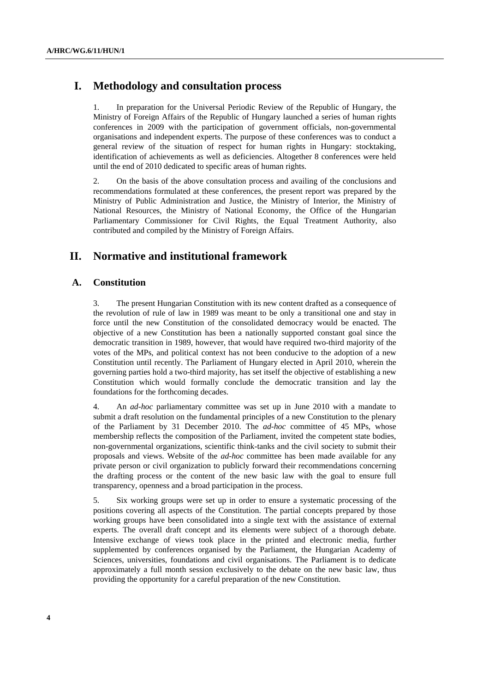# **I. Methodology and consultation process**

1. In preparation for the Universal Periodic Review of the Republic of Hungary, the Ministry of Foreign Affairs of the Republic of Hungary launched a series of human rights conferences in 2009 with the participation of government officials, non-governmental organisations and independent experts. The purpose of these conferences was to conduct a general review of the situation of respect for human rights in Hungary: stocktaking, identification of achievements as well as deficiencies. Altogether 8 conferences were held until the end of 2010 dedicated to specific areas of human rights.

2. On the basis of the above consultation process and availing of the conclusions and recommendations formulated at these conferences, the present report was prepared by the Ministry of Public Administration and Justice, the Ministry of Interior, the Ministry of National Resources, the Ministry of National Economy, the Office of the Hungarian Parliamentary Commissioner for Civil Rights, the Equal Treatment Authority, also contributed and compiled by the Ministry of Foreign Affairs.

# **II. Normative and institutional framework**

# **A. Constitution**

3. The present Hungarian Constitution with its new content drafted as a consequence of the revolution of rule of law in 1989 was meant to be only a transitional one and stay in force until the new Constitution of the consolidated democracy would be enacted. The objective of a new Constitution has been a nationally supported constant goal since the democratic transition in 1989, however, that would have required two-third majority of the votes of the MPs, and political context has not been conducive to the adoption of a new Constitution until recently. The Parliament of Hungary elected in April 2010, wherein the governing parties hold a two-third majority, has set itself the objective of establishing a new Constitution which would formally conclude the democratic transition and lay the foundations for the forthcoming decades.

4. An *ad-hoc* parliamentary committee was set up in June 2010 with a mandate to submit a draft resolution on the fundamental principles of a new Constitution to the plenary of the Parliament by 31 December 2010. The *ad-hoc* committee of 45 MPs, whose membership reflects the composition of the Parliament, invited the competent state bodies, non-governmental organizations, scientific think-tanks and the civil society to submit their proposals and views. Website of the *ad-hoc* committee has been made available for any private person or civil organization to publicly forward their recommendations concerning the drafting process or the content of the new basic law with the goal to ensure full transparency, openness and a broad participation in the process.

5. Six working groups were set up in order to ensure a systematic processing of the positions covering all aspects of the Constitution. The partial concepts prepared by those working groups have been consolidated into a single text with the assistance of external experts. The overall draft concept and its elements were subject of a thorough debate. Intensive exchange of views took place in the printed and electronic media, further supplemented by conferences organised by the Parliament, the Hungarian Academy of Sciences, universities, foundations and civil organisations. The Parliament is to dedicate approximately a full month session exclusively to the debate on the new basic law, thus providing the opportunity for a careful preparation of the new Constitution.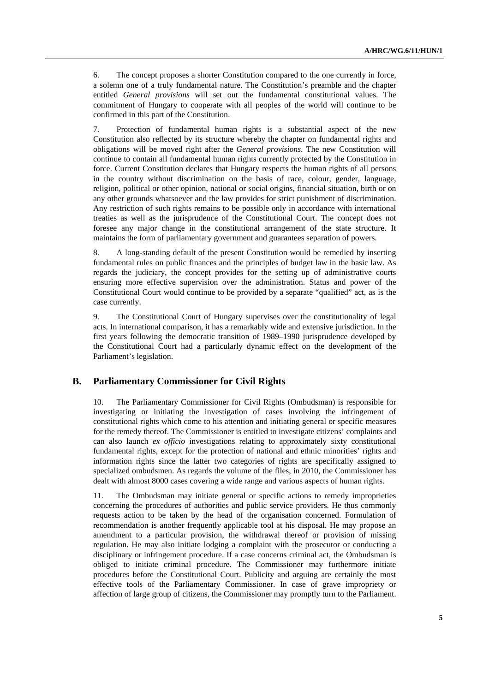6. The concept proposes a shorter Constitution compared to the one currently in force, a solemn one of a truly fundamental nature. The Constitution's preamble and the chapter entitled *General provisions* will set out the fundamental constitutional values. The commitment of Hungary to cooperate with all peoples of the world will continue to be confirmed in this part of the Constitution.

7. Protection of fundamental human rights is a substantial aspect of the new Constitution also reflected by its structure whereby the chapter on fundamental rights and obligations will be moved right after the *General provisions*. The new Constitution will continue to contain all fundamental human rights currently protected by the Constitution in force. Current Constitution declares that Hungary respects the human rights of all persons in the country without discrimination on the basis of race, colour, gender, language, religion, political or other opinion, national or social origins, financial situation, birth or on any other grounds whatsoever and the law provides for strict punishment of discrimination. Any restriction of such rights remains to be possible only in accordance with international treaties as well as the jurisprudence of the Constitutional Court. The concept does not foresee any major change in the constitutional arrangement of the state structure. It maintains the form of parliamentary government and guarantees separation of powers.

8. A long-standing default of the present Constitution would be remedied by inserting fundamental rules on public finances and the principles of budget law in the basic law. As regards the judiciary, the concept provides for the setting up of administrative courts ensuring more effective supervision over the administration. Status and power of the Constitutional Court would continue to be provided by a separate "qualified" act, as is the case currently.

9. The Constitutional Court of Hungary supervises over the constitutionality of legal acts. In international comparison, it has a remarkably wide and extensive jurisdiction. In the first years following the democratic transition of 1989–1990 jurisprudence developed by the Constitutional Court had a particularly dynamic effect on the development of the Parliament's legislation.

# **B. Parliamentary Commissioner for Civil Rights**

10. The Parliamentary Commissioner for Civil Rights (Ombudsman) is responsible for investigating or initiating the investigation of cases involving the infringement of constitutional rights which come to his attention and initiating general or specific measures for the remedy thereof. The Commissioner is entitled to investigate citizens' complaints and can also launch *ex officio* investigations relating to approximately sixty constitutional fundamental rights, except for the protection of national and ethnic minorities' rights and information rights since the latter two categories of rights are specifically assigned to specialized ombudsmen. As regards the volume of the files, in 2010, the Commissioner has dealt with almost 8000 cases covering a wide range and various aspects of human rights.

The Ombudsman may initiate general or specific actions to remedy improprieties concerning the procedures of authorities and public service providers. He thus commonly requests action to be taken by the head of the organisation concerned. Formulation of recommendation is another frequently applicable tool at his disposal. He may propose an amendment to a particular provision, the withdrawal thereof or provision of missing regulation. He may also initiate lodging a complaint with the prosecutor or conducting a disciplinary or infringement procedure. If a case concerns criminal act, the Ombudsman is obliged to initiate criminal procedure. The Commissioner may furthermore initiate procedures before the Constitutional Court. Publicity and arguing are certainly the most effective tools of the Parliamentary Commissioner. In case of grave impropriety or affection of large group of citizens, the Commissioner may promptly turn to the Parliament.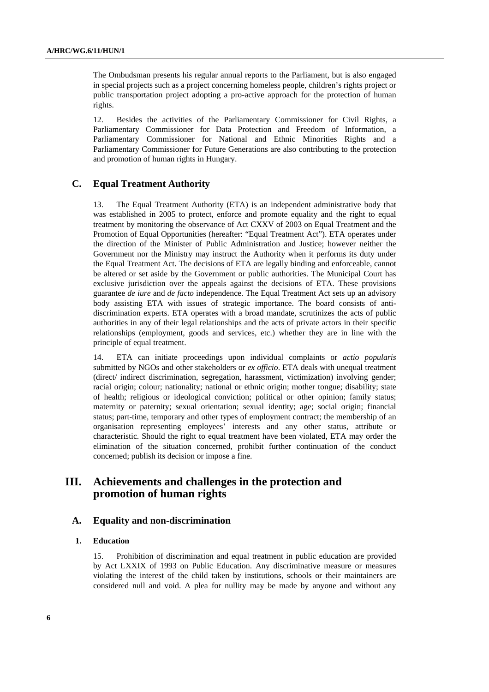The Ombudsman presents his regular annual reports to the Parliament, but is also engaged in special projects such as a project concerning homeless people, children's rights project or public transportation project adopting a pro-active approach for the protection of human rights.

12. Besides the activities of the Parliamentary Commissioner for Civil Rights, a Parliamentary Commissioner for Data Protection and Freedom of Information, a Parliamentary Commissioner for National and Ethnic Minorities Rights and a Parliamentary Commissioner for Future Generations are also contributing to the protection and promotion of human rights in Hungary.

# **C. Equal Treatment Authority**

13. The Equal Treatment Authority (ETA) is an independent administrative body that was established in 2005 to protect, enforce and promote equality and the right to equal treatment by monitoring the observance of Act CXXV of 2003 on Equal Treatment and the Promotion of Equal Opportunities (hereafter: "Equal Treatment Act"). ETA operates under the direction of the Minister of Public Administration and Justice; however neither the Government nor the Ministry may instruct the Authority when it performs its duty under the Equal Treatment Act. The decisions of ETA are legally binding and enforceable, cannot be altered or set aside by the Government or public authorities. The Municipal Court has exclusive jurisdiction over the appeals against the decisions of ETA. These provisions guarantee *de iure* and *de facto* independence. The Equal Treatment Act sets up an advisory body assisting ETA with issues of strategic importance. The board consists of antidiscrimination experts. ETA operates with a broad mandate, scrutinizes the acts of public authorities in any of their legal relationships and the acts of private actors in their specific relationships (employment, goods and services, etc.) whether they are in line with the principle of equal treatment.

14. ETA can initiate proceedings upon individual complaints or *actio popularis* submitted by NGOs and other stakeholders or *ex officio*. ETA deals with unequal treatment (direct/ indirect discrimination, segregation, harassment, victimization) involving gender; racial origin; colour; nationality; national or ethnic origin; mother tongue; disability; state of health; religious or ideological conviction; political or other opinion; family status; maternity or paternity; sexual orientation; sexual identity; age; social origin; financial status; part-time, temporary and other types of employment contract; the membership of an organisation representing employees' interests and any other status, attribute or characteristic. Should the right to equal treatment have been violated, ETA may order the elimination of the situation concerned, prohibit further continuation of the conduct concerned; publish its decision or impose a fine.

# **III. Achievements and challenges in the protection and promotion of human rights**

## **A. Equality and non-discrimination**

## **1. Education**

15. Prohibition of discrimination and equal treatment in public education are provided by Act LXXIX of 1993 on Public Education. Any discriminative measure or measures violating the interest of the child taken by institutions, schools or their maintainers are considered null and void. A plea for nullity may be made by anyone and without any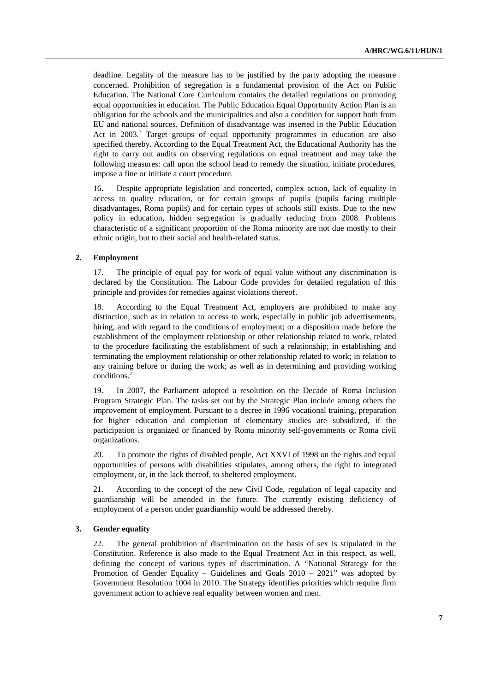deadline. Legality of the measure has to be justified by the party adopting the measure concerned. Prohibition of segregation is a fundamental provision of the Act on Public Education. The National Core Curriculum contains the detailed regulations on promoting equal opportunities in education. The Public Education Equal Opportunity Action Plan is an obligation for the schools and the municipalities and also a condition for support both from EU and national sources. Definition of disadvantage was inserted in the Public Education Act in 2003.<sup>1</sup> Target groups of equal opportunity programmes in education are also specified thereby. According to the Equal Treatment Act, the Educational Authority has the right to carry out audits on observing regulations on equal treatment and may take the following measures: call upon the school head to remedy the situation, initiate procedures, impose a fine or initiate a court procedure.

16. Despite appropriate legislation and concerted, complex action, lack of equality in access to quality education, or for certain groups of pupils (pupils facing multiple disadvantages, Roma pupils) and for certain types of schools still exists. Due to the new policy in education, hidden segregation is gradually reducing from 2008. Problems characteristic of a significant proportion of the Roma minority are not due mostly to their ethnic origin, but to their social and health-related status.

## **2. Employment**

17. The principle of equal pay for work of equal value without any discrimination is declared by the Constitution. The Labour Code provides for detailed regulation of this principle and provides for remedies against violations thereof.

18. According to the Equal Treatment Act, employers are prohibited to make any distinction, such as in relation to access to work, especially in public job advertisements, hiring, and with regard to the conditions of employment; or a disposition made before the establishment of the employment relationship or other relationship related to work, related to the procedure facilitating the establishment of such a relationship; in establishing and terminating the employment relationship or other relationship related to work; in relation to any training before or during the work; as well as in determining and providing working conditions.<sup>2</sup>

19. In 2007, the Parliament adopted a resolution on the Decade of Roma Inclusion Program Strategic Plan. The tasks set out by the Strategic Plan include among others the improvement of employment. Pursuant to a decree in 1996 vocational training, preparation for higher education and completion of elementary studies are subsidized, if the participation is organized or financed by Roma minority self-governments or Roma civil organizations.

20. To promote the rights of disabled people, Act XXVI of 1998 on the rights and equal opportunities of persons with disabilities stipulates, among others, the right to integrated employment, or, in the lack thereof, to sheltered employment.

21. According to the concept of the new Civil Code, regulation of legal capacity and guardianship will be amended in the future. The currently existing deficiency of employment of a person under guardianship would be addressed thereby.

## **3. Gender equality**

22. The general prohibition of discrimination on the basis of sex is stipulated in the Constitution. Reference is also made to the Equal Treatment Act in this respect, as well, defining the concept of various types of discrimination. A "National Strategy for the Promotion of Gender Equality – Guidelines and Goals 2010 – 2021" was adopted by Government Resolution 1004 in 2010. The Strategy identifies priorities which require firm government action to achieve real equality between women and men.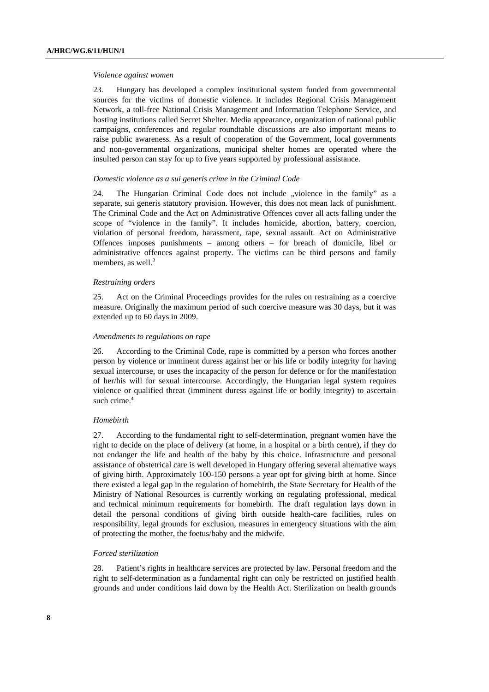#### *Violence against women*

23. Hungary has developed a complex institutional system funded from governmental sources for the victims of domestic violence. It includes Regional Crisis Management Network, a toll-free National Crisis Management and Information Telephone Service, and hosting institutions called Secret Shelter. Media appearance, organization of national public campaigns, conferences and regular roundtable discussions are also important means to raise public awareness. As a result of cooperation of the Government, local governments and non-governmental organizations, municipal shelter homes are operated where the insulted person can stay for up to five years supported by professional assistance.

#### *Domestic violence as a sui generis crime in the Criminal Code*

24. The Hungarian Criminal Code does not include "violence in the family" as a separate, sui generis statutory provision. However, this does not mean lack of punishment. The Criminal Code and the Act on Administrative Offences cover all acts falling under the scope of "violence in the family". It includes homicide, abortion, battery, coercion, violation of personal freedom, harassment, rape, sexual assault. Act on Administrative Offences imposes punishments – among others – for breach of domicile, libel or administrative offences against property. The victims can be third persons and family members, as well. $3$ 

#### *Restraining orders*

25. Act on the Criminal Proceedings provides for the rules on restraining as a coercive measure. Originally the maximum period of such coercive measure was 30 days, but it was extended up to 60 days in 2009.

#### *Amendments to regulations on rape*

26. According to the Criminal Code, rape is committed by a person who forces another person by violence or imminent duress against her or his life or bodily integrity for having sexual intercourse, or uses the incapacity of the person for defence or for the manifestation of her/his will for sexual intercourse. Accordingly, the Hungarian legal system requires violence or qualified threat (imminent duress against life or bodily integrity) to ascertain such crime.<sup>4</sup>

## *Homebirth*

27. According to the fundamental right to self-determination, pregnant women have the right to decide on the place of delivery (at home, in a hospital or a birth centre), if they do not endanger the life and health of the baby by this choice. Infrastructure and personal assistance of obstetrical care is well developed in Hungary offering several alternative ways of giving birth. Approximately 100-150 persons a year opt for giving birth at home. Since there existed a legal gap in the regulation of homebirth, the State Secretary for Health of the Ministry of National Resources is currently working on regulating professional, medical and technical minimum requirements for homebirth. The draft regulation lays down in detail the personal conditions of giving birth outside health-care facilities, rules on responsibility, legal grounds for exclusion, measures in emergency situations with the aim of protecting the mother, the foetus/baby and the midwife.

## *Forced sterilization*

28. Patient's rights in healthcare services are protected by law. Personal freedom and the right to self-determination as a fundamental right can only be restricted on justified health grounds and under conditions laid down by the Health Act. Sterilization on health grounds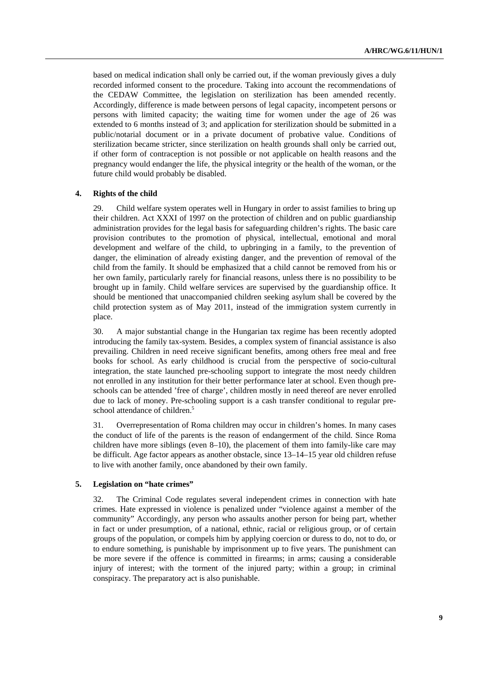based on medical indication shall only be carried out, if the woman previously gives a duly recorded informed consent to the procedure. Taking into account the recommendations of the CEDAW Committee, the legislation on sterilization has been amended recently. Accordingly, difference is made between persons of legal capacity, incompetent persons or persons with limited capacity; the waiting time for women under the age of 26 was extended to 6 months instead of 3; and application for sterilization should be submitted in a public/notarial document or in a private document of probative value. Conditions of sterilization became stricter, since sterilization on health grounds shall only be carried out, if other form of contraception is not possible or not applicable on health reasons and the pregnancy would endanger the life, the physical integrity or the health of the woman, or the future child would probably be disabled.

## **4. Rights of the child**

29. Child welfare system operates well in Hungary in order to assist families to bring up their children. Act XXXI of 1997 on the protection of children and on public guardianship administration provides for the legal basis for safeguarding children's rights. The basic care provision contributes to the promotion of physical, intellectual, emotional and moral development and welfare of the child, to upbringing in a family, to the prevention of danger, the elimination of already existing danger, and the prevention of removal of the child from the family. It should be emphasized that a child cannot be removed from his or her own family, particularly rarely for financial reasons, unless there is no possibility to be brought up in family. Child welfare services are supervised by the guardianship office. It should be mentioned that unaccompanied children seeking asylum shall be covered by the child protection system as of May 2011, instead of the immigration system currently in place.

30. A major substantial change in the Hungarian tax regime has been recently adopted introducing the family tax-system. Besides, a complex system of financial assistance is also prevailing. Children in need receive significant benefits, among others free meal and free books for school. As early childhood is crucial from the perspective of socio-cultural integration, the state launched pre-schooling support to integrate the most needy children not enrolled in any institution for their better performance later at school. Even though preschools can be attended 'free of charge', children mostly in need thereof are never enrolled due to lack of money. Pre-schooling support is a cash transfer conditional to regular preschool attendance of children.<sup>5</sup>

31. Overrepresentation of Roma children may occur in children's homes. In many cases the conduct of life of the parents is the reason of endangerment of the child. Since Roma children have more siblings (even 8–10), the placement of them into family-like care may be difficult. Age factor appears as another obstacle, since 13–14–15 year old children refuse to live with another family, once abandoned by their own family.

#### **5. Legislation on "hate crimes"**

32. The Criminal Code regulates several independent crimes in connection with hate crimes. Hate expressed in violence is penalized under "violence against a member of the community" Accordingly, any person who assaults another person for being part, whether in fact or under presumption, of a national, ethnic, racial or religious group, or of certain groups of the population, or compels him by applying coercion or duress to do, not to do, or to endure something, is punishable by imprisonment up to five years. The punishment can be more severe if the offence is committed in firearms; in arms; causing a considerable injury of interest; with the torment of the injured party; within a group; in criminal conspiracy. The preparatory act is also punishable.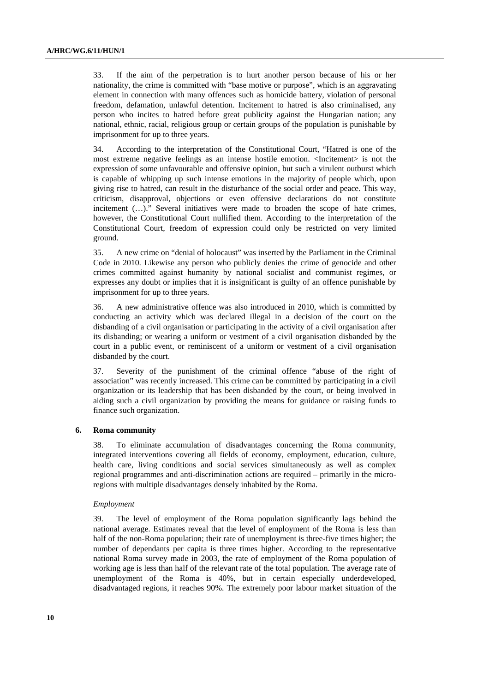33. If the aim of the perpetration is to hurt another person because of his or her nationality, the crime is committed with "base motive or purpose", which is an aggravating element in connection with many offences such as homicide battery, violation of personal freedom, defamation, unlawful detention. Incitement to hatred is also criminalised, any person who incites to hatred before great publicity against the Hungarian nation; any national, ethnic, racial, religious group or certain groups of the population is punishable by imprisonment for up to three years.

34. According to the interpretation of the Constitutional Court, "Hatred is one of the most extreme negative feelings as an intense hostile emotion. <Incitement> is not the expression of some unfavourable and offensive opinion, but such a virulent outburst which is capable of whipping up such intense emotions in the majority of people which, upon giving rise to hatred, can result in the disturbance of the social order and peace. This way, criticism, disapproval, objections or even offensive declarations do not constitute incitement (…)." Several initiatives were made to broaden the scope of hate crimes, however, the Constitutional Court nullified them. According to the interpretation of the Constitutional Court, freedom of expression could only be restricted on very limited ground.

35. A new crime on "denial of holocaust" was inserted by the Parliament in the Criminal Code in 2010. Likewise any person who publicly denies the crime of genocide and other crimes committed against humanity by national socialist and communist regimes, or expresses any doubt or implies that it is insignificant is guilty of an offence punishable by imprisonment for up to three years.

36. A new administrative offence was also introduced in 2010, which is committed by conducting an activity which was declared illegal in a decision of the court on the disbanding of a civil organisation or participating in the activity of a civil organisation after its disbanding; or wearing a uniform or vestment of a civil organisation disbanded by the court in a public event, or reminiscent of a uniform or vestment of a civil organisation disbanded by the court.

37. Severity of the punishment of the criminal offence "abuse of the right of association" was recently increased. This crime can be committed by participating in a civil organization or its leadership that has been disbanded by the court, or being involved in aiding such a civil organization by providing the means for guidance or raising funds to finance such organization.

## **6. Roma community**

38. To eliminate accumulation of disadvantages concerning the Roma community, integrated interventions covering all fields of economy, employment, education, culture, health care, living conditions and social services simultaneously as well as complex regional programmes and anti-discrimination actions are required – primarily in the microregions with multiple disadvantages densely inhabited by the Roma.

#### *Employment*

39. The level of employment of the Roma population significantly lags behind the national average. Estimates reveal that the level of employment of the Roma is less than half of the non-Roma population; their rate of unemployment is three-five times higher; the number of dependants per capita is three times higher. According to the representative national Roma survey made in 2003, the rate of employment of the Roma population of working age is less than half of the relevant rate of the total population. The average rate of unemployment of the Roma is 40%, but in certain especially underdeveloped, disadvantaged regions, it reaches 90%. The extremely poor labour market situation of the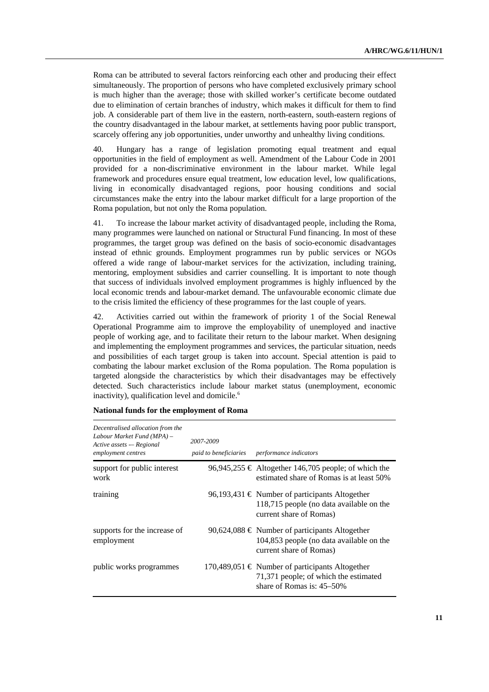Roma can be attributed to several factors reinforcing each other and producing their effect simultaneously. The proportion of persons who have completed exclusively primary school is much higher than the average; those with skilled worker's certificate become outdated due to elimination of certain branches of industry, which makes it difficult for them to find job. A considerable part of them live in the eastern, north-eastern, south-eastern regions of the country disadvantaged in the labour market, at settlements having poor public transport, scarcely offering any job opportunities, under unworthy and unhealthy living conditions.

40. Hungary has a range of legislation promoting equal treatment and equal opportunities in the field of employment as well. Amendment of the Labour Code in 2001 provided for a non-discriminative environment in the labour market. While legal framework and procedures ensure equal treatment, low education level, low qualifications, living in economically disadvantaged regions, poor housing conditions and social circumstances make the entry into the labour market difficult for a large proportion of the Roma population, but not only the Roma population.

41. To increase the labour market activity of disadvantaged people, including the Roma, many programmes were launched on national or Structural Fund financing. In most of these programmes, the target group was defined on the basis of socio-economic disadvantages instead of ethnic grounds. Employment programmes run by public services or NGOs offered a wide range of labour-market services for the activization, including training, mentoring, employment subsidies and carrier counselling. It is important to note though that success of individuals involved employment programmes is highly influenced by the local economic trends and labour-market demand. The unfavourable economic climate due to the crisis limited the efficiency of these programmes for the last couple of years.

42. Activities carried out within the framework of priority 1 of the Social Renewal Operational Programme aim to improve the employability of unemployed and inactive people of working age, and to facilitate their return to the labour market. When designing and implementing the employment programmes and services, the particular situation, needs and possibilities of each target group is taken into account. Special attention is paid to combating the labour market exclusion of the Roma population. The Roma population is targeted alongside the characteristics by which their disadvantages may be effectively detected. Such characteristics include labour market status (unemployment, economic inactivity), qualification level and domicile. $<sup>6</sup>$ </sup>

| Decentralised allocation from the<br>Labour Market Fund (MPA) -<br>Active assets - Regional<br>employment centres | 2007-2009<br>paid to beneficiaries | performance indicators                                                                                                   |
|-------------------------------------------------------------------------------------------------------------------|------------------------------------|--------------------------------------------------------------------------------------------------------------------------|
| support for public interest<br>work                                                                               |                                    | 96,945,255 € Altogether 146,705 people; of which the<br>estimated share of Romas is at least 50%                         |
| training                                                                                                          |                                    | 96,193,431 € Number of participants Altogether<br>118,715 people (no data available on the<br>current share of Romas)    |
| supports for the increase of<br>employment                                                                        |                                    | 90,624,088 € Number of participants Altogether<br>104,853 people (no data available on the<br>current share of Romas)    |
| public works programmes                                                                                           |                                    | 170,489,051 € Number of participants Altogether<br>71,371 people; of which the estimated<br>share of Romas is: $45-50\%$ |

|  |  |  |  | National funds for the employment of Roma |
|--|--|--|--|-------------------------------------------|
|--|--|--|--|-------------------------------------------|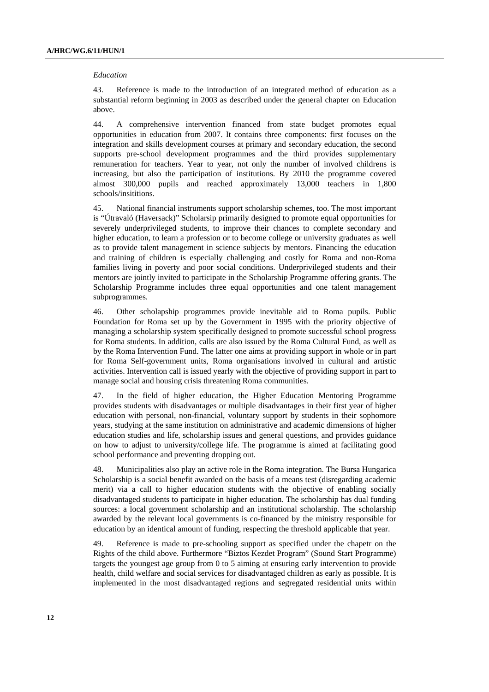#### *Education*

43. Reference is made to the introduction of an integrated method of education as a substantial reform beginning in 2003 as described under the general chapter on Education above.

44. A comprehensive intervention financed from state budget promotes equal opportunities in education from 2007. It contains three components: first focuses on the integration and skills development courses at primary and secondary education, the second supports pre-school development programmes and the third provides supplementary remuneration for teachers. Year to year, not only the number of involved childrens is increasing, but also the participation of institutions. By 2010 the programme covered almost 300,000 pupils and reached approximately 13,000 teachers in 1,800 schools/insititions.

45. National financial instruments support scholarship schemes, too. The most important is "Útravaló (Haversack)" Scholarsip primarily designed to promote equal opportunities for severely underprivileged students, to improve their chances to complete secondary and higher education, to learn a profession or to become college or university graduates as well as to provide talent management in science subjects by mentors. Financing the education and training of children is especially challenging and costly for Roma and non-Roma families living in poverty and poor social conditions. Underprivileged students and their mentors are jointly invited to participate in the Scholarship Programme offering grants. The Scholarship Programme includes three equal opportunities and one talent management subprogrammes.

46. Other scholapship programmes provide inevitable aid to Roma pupils. Public Foundation for Roma set up by the Government in 1995 with the priority objective of managing a scholarship system specifically designed to promote successful school progress for Roma students. In addition, calls are also issued by the Roma Cultural Fund, as well as by the Roma Intervention Fund. The latter one aims at providing support in whole or in part for Roma Self-government units, Roma organisations involved in cultural and artistic activities. Intervention call is issued yearly with the objective of providing support in part to manage social and housing crisis threatening Roma communities.

47. In the field of higher education, the Higher Education Mentoring Programme provides students with disadvantages or multiple disadvantages in their first year of higher education with personal, non-financial, voluntary support by students in their sophomore years, studying at the same institution on administrative and academic dimensions of higher education studies and life, scholarship issues and general questions, and provides guidance on how to adjust to university/college life. The programme is aimed at facilitating good school performance and preventing dropping out.

48. Municipalities also play an active role in the Roma integration. The Bursa Hungarica Scholarship is a social benefit awarded on the basis of a means test (disregarding academic merit) via a call to higher education students with the objective of enabling socially disadvantaged students to participate in higher education. The scholarship has dual funding sources: a local government scholarship and an institutional scholarship. The scholarship awarded by the relevant local governments is co-financed by the ministry responsible for education by an identical amount of funding, respecting the threshold applicable that year.

49. Reference is made to pre-schooling support as specified under the chapetr on the Rights of the child above. Furthermore "Biztos Kezdet Program" (Sound Start Programme) targets the youngest age group from 0 to 5 aiming at ensuring early intervention to provide health, child welfare and social services for disadvantaged children as early as possible. It is implemented in the most disadvantaged regions and segregated residential units within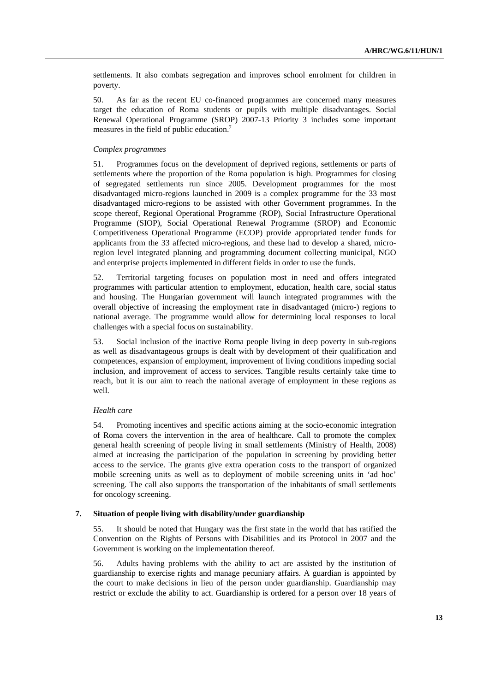settlements. It also combats segregation and improves school enrolment for children in poverty.

50. As far as the recent EU co-financed programmes are concerned many measures target the education of Roma students or pupils with multiple disadvantages. Social Renewal Operational Programme (SROP) 2007-13 Priority 3 includes some important measures in the field of public education.7

## *Complex programmes*

51. Programmes focus on the development of deprived regions, settlements or parts of settlements where the proportion of the Roma population is high. Programmes for closing of segregated settlements run since 2005. Development programmes for the most disadvantaged micro-regions launched in 2009 is a complex programme for the 33 most disadvantaged micro-regions to be assisted with other Government programmes. In the scope thereof, Regional Operational Programme (ROP), Social Infrastructure Operational Programme (SIOP), Social Operational Renewal Programme (SROP) and Economic Competitiveness Operational Programme (ECOP) provide appropriated tender funds for applicants from the 33 affected micro-regions, and these had to develop a shared, microregion level integrated planning and programming document collecting municipal, NGO and enterprise projects implemented in different fields in order to use the funds.

52. Territorial targeting focuses on population most in need and offers integrated programmes with particular attention to employment, education, health care, social status and housing. The Hungarian government will launch integrated programmes with the overall objective of increasing the employment rate in disadvantaged (micro-) regions to national average. The programme would allow for determining local responses to local challenges with a special focus on sustainability.

53. Social inclusion of the inactive Roma people living in deep poverty in sub-regions as well as disadvantageous groups is dealt with by development of their qualification and competences, expansion of employment, improvement of living conditions impeding social inclusion, and improvement of access to services. Tangible results certainly take time to reach, but it is our aim to reach the national average of employment in these regions as well.

## *Health care*

54. Promoting incentives and specific actions aiming at the socio-economic integration of Roma covers the intervention in the area of healthcare. Call to promote the complex general health screening of people living in small settlements (Ministry of Health, 2008) aimed at increasing the participation of the population in screening by providing better access to the service. The grants give extra operation costs to the transport of organized mobile screening units as well as to deployment of mobile screening units in 'ad hoc' screening. The call also supports the transportation of the inhabitants of small settlements for oncology screening.

## **7. Situation of people living with disability/under guardianship**

55. It should be noted that Hungary was the first state in the world that has ratified the Convention on the Rights of Persons with Disabilities and its Protocol in 2007 and the Government is working on the implementation thereof.

56. Adults having problems with the ability to act are assisted by the institution of guardianship to exercise rights and manage pecuniary affairs. A guardian is appointed by the court to make decisions in lieu of the person under guardianship. Guardianship may restrict or exclude the ability to act. Guardianship is ordered for a person over 18 years of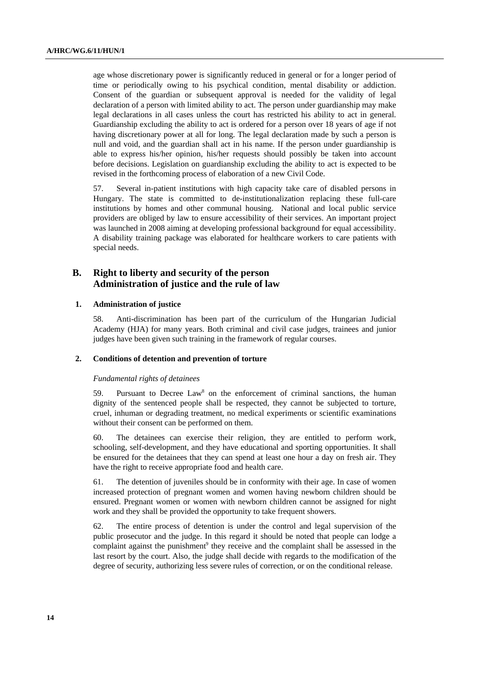age whose discretionary power is significantly reduced in general or for a longer period of time or periodically owing to his psychical condition, mental disability or addiction. Consent of the guardian or subsequent approval is needed for the validity of legal declaration of a person with limited ability to act. The person under guardianship may make legal declarations in all cases unless the court has restricted his ability to act in general. Guardianship excluding the ability to act is ordered for a person over 18 years of age if not having discretionary power at all for long. The legal declaration made by such a person is null and void, and the guardian shall act in his name. If the person under guardianship is able to express his/her opinion, his/her requests should possibly be taken into account before decisions. Legislation on guardianship excluding the ability to act is expected to be revised in the forthcoming process of elaboration of a new Civil Code.

57. Several in-patient institutions with high capacity take care of disabled persons in Hungary. The state is committed to de-institutionalization replacing these full-care institutions by homes and other communal housing. National and local public service providers are obliged by law to ensure accessibility of their services. An important project was launched in 2008 aiming at developing professional background for equal accessibility. A disability training package was elaborated for healthcare workers to care patients with special needs.

# **B. Right to liberty and security of the person Administration of justice and the rule of law**

#### **1. Administration of justice**

58. Anti-discrimination has been part of the curriculum of the Hungarian Judicial Academy (HJA) for many years. Both criminal and civil case judges, trainees and junior judges have been given such training in the framework of regular courses.

## **2. Conditions of detention and prevention of torture**

#### *Fundamental rights of detainees*

59. Pursuant to Decree Law<sup>8</sup> on the enforcement of criminal sanctions, the human dignity of the sentenced people shall be respected, they cannot be subjected to torture, cruel, inhuman or degrading treatment, no medical experiments or scientific examinations without their consent can be performed on them.

60. The detainees can exercise their religion, they are entitled to perform work, schooling, self-development, and they have educational and sporting opportunities. It shall be ensured for the detainees that they can spend at least one hour a day on fresh air. They have the right to receive appropriate food and health care.

61. The detention of juveniles should be in conformity with their age. In case of women increased protection of pregnant women and women having newborn children should be ensured. Pregnant women or women with newborn children cannot be assigned for night work and they shall be provided the opportunity to take frequent showers.

62. The entire process of detention is under the control and legal supervision of the public prosecutor and the judge. In this regard it should be noted that people can lodge a complaint against the punishment<sup>9</sup> they receive and the complaint shall be assessed in the last resort by the court. Also, the judge shall decide with regards to the modification of the degree of security, authorizing less severe rules of correction, or on the conditional release.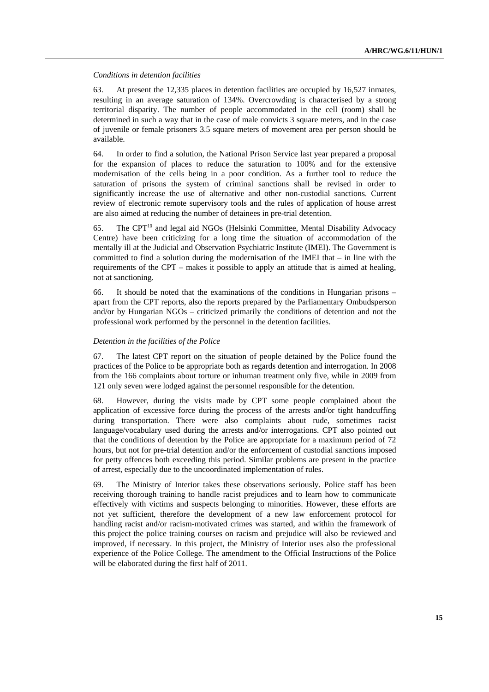## *Conditions in detention facilities*

63. At present the 12,335 places in detention facilities are occupied by 16,527 inmates, resulting in an average saturation of 134%. Overcrowding is characterised by a strong territorial disparity. The number of people accommodated in the cell (room) shall be determined in such a way that in the case of male convicts 3 square meters, and in the case of juvenile or female prisoners 3.5 square meters of movement area per person should be available.

64. In order to find a solution, the National Prison Service last year prepared a proposal for the expansion of places to reduce the saturation to 100% and for the extensive modernisation of the cells being in a poor condition. As a further tool to reduce the saturation of prisons the system of criminal sanctions shall be revised in order to significantly increase the use of alternative and other non-custodial sanctions. Current review of electronic remote supervisory tools and the rules of application of house arrest are also aimed at reducing the number of detainees in pre-trial detention.

65. The CPT $^{10}$  and legal aid NGOs (Helsinki Committee, Mental Disability Advocacy Centre) have been criticizing for a long time the situation of accommodation of the mentally ill at the Judicial and Observation Psychiatric Institute (IMEI). The Government is committed to find a solution during the modernisation of the IMEI that – in line with the requirements of the CPT – makes it possible to apply an attitude that is aimed at healing, not at sanctioning.

66. It should be noted that the examinations of the conditions in Hungarian prisons – apart from the CPT reports, also the reports prepared by the Parliamentary Ombudsperson and/or by Hungarian NGOs – criticized primarily the conditions of detention and not the professional work performed by the personnel in the detention facilities.

# *Detention in the facilities of the Police*

67. The latest CPT report on the situation of people detained by the Police found the practices of the Police to be appropriate both as regards detention and interrogation. In 2008 from the 166 complaints about torture or inhuman treatment only five, while in 2009 from 121 only seven were lodged against the personnel responsible for the detention.

68. However, during the visits made by CPT some people complained about the application of excessive force during the process of the arrests and/or tight handcuffing during transportation. There were also complaints about rude, sometimes racist language/vocabulary used during the arrests and/or interrogations. CPT also pointed out that the conditions of detention by the Police are appropriate for a maximum period of 72 hours, but not for pre-trial detention and/or the enforcement of custodial sanctions imposed for petty offences both exceeding this period. Similar problems are present in the practice of arrest, especially due to the uncoordinated implementation of rules.

69. The Ministry of Interior takes these observations seriously. Police staff has been receiving thorough training to handle racist prejudices and to learn how to communicate effectively with victims and suspects belonging to minorities. However, these efforts are not yet sufficient, therefore the development of a new law enforcement protocol for handling racist and/or racism-motivated crimes was started, and within the framework of this project the police training courses on racism and prejudice will also be reviewed and improved, if necessary. In this project, the Ministry of Interior uses also the professional experience of the Police College. The amendment to the Official Instructions of the Police will be elaborated during the first half of 2011.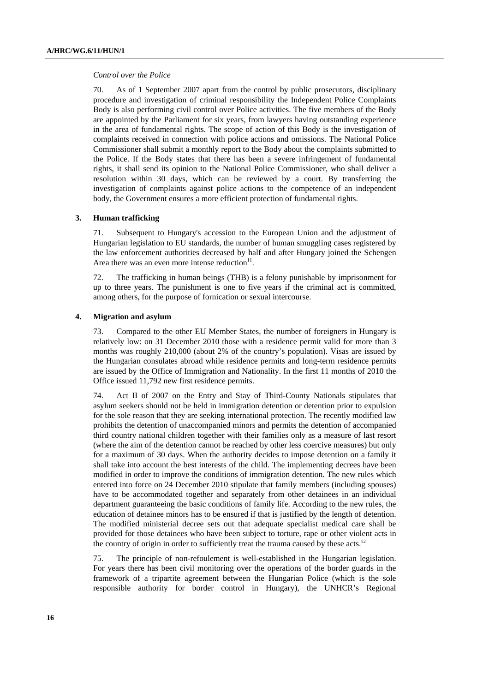#### *Control over the Police*

70. As of 1 September 2007 apart from the control by public prosecutors, disciplinary procedure and investigation of criminal responsibility the Independent Police Complaints Body is also performing civil control over Police activities. The five members of the Body are appointed by the Parliament for six years, from lawyers having outstanding experience in the area of fundamental rights. The scope of action of this Body is the investigation of complaints received in connection with police actions and omissions. The National Police Commissioner shall submit a monthly report to the Body about the complaints submitted to the Police. If the Body states that there has been a severe infringement of fundamental rights, it shall send its opinion to the National Police Commissioner, who shall deliver a resolution within 30 days, which can be reviewed by a court. By transferring the investigation of complaints against police actions to the competence of an independent body, the Government ensures a more efficient protection of fundamental rights.

#### **3. Human trafficking**

71. Subsequent to Hungary's accession to the European Union and the adjustment of Hungarian legislation to EU standards, the number of human smuggling cases registered by the law enforcement authorities decreased by half and after Hungary joined the Schengen Area there was an even more intense reduction $11$ .

72. The trafficking in human beings (THB) is a felony punishable by imprisonment for up to three years. The punishment is one to five years if the criminal act is committed, among others, for the purpose of fornication or sexual intercourse.

#### **4. Migration and asylum**

73. Compared to the other EU Member States, the number of foreigners in Hungary is relatively low: on 31 December 2010 those with a residence permit valid for more than 3 months was roughly 210,000 (about 2% of the country's population). Visas are issued by the Hungarian consulates abroad while residence permits and long-term residence permits are issued by the Office of Immigration and Nationality. In the first 11 months of 2010 the Office issued 11,792 new first residence permits.

74. Act II of 2007 on the Entry and Stay of Third-County Nationals stipulates that asylum seekers should not be held in immigration detention or detention prior to expulsion for the sole reason that they are seeking international protection. The recently modified law prohibits the detention of unaccompanied minors and permits the detention of accompanied third country national children together with their families only as a measure of last resort (where the aim of the detention cannot be reached by other less coercive measures) but only for a maximum of 30 days. When the authority decides to impose detention on a family it shall take into account the best interests of the child. The implementing decrees have been modified in order to improve the conditions of immigration detention. The new rules which entered into force on 24 December 2010 stipulate that family members (including spouses) have to be accommodated together and separately from other detainees in an individual department guaranteeing the basic conditions of family life. According to the new rules, the education of detainee minors has to be ensured if that is justified by the length of detention. The modified ministerial decree sets out that adequate specialist medical care shall be provided for those detainees who have been subject to torture, rape or other violent acts in the country of origin in order to sufficiently treat the trauma caused by these acts.<sup>12</sup>

75. The principle of non-refoulement is well-established in the Hungarian legislation. For years there has been civil monitoring over the operations of the border guards in the framework of a tripartite agreement between the Hungarian Police (which is the sole responsible authority for border control in Hungary), the UNHCR's Regional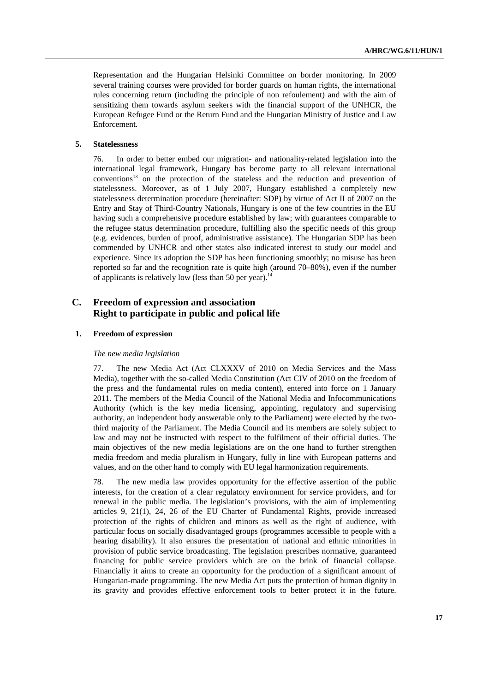Representation and the Hungarian Helsinki Committee on border monitoring. In 2009 several training courses were provided for border guards on human rights, the international rules concerning return (including the principle of non refoulement) and with the aim of sensitizing them towards asylum seekers with the financial support of the UNHCR, the European Refugee Fund or the Return Fund and the Hungarian Ministry of Justice and Law Enforcement.

## **5. Statelessness**

76. In order to better embed our migration- and nationality-related legislation into the international legal framework, Hungary has become party to all relevant international conventions13 on the protection of the stateless and the reduction and prevention of statelessness. Moreover, as of 1 July 2007, Hungary established a completely new statelessness determination procedure (hereinafter: SDP) by virtue of Act II of 2007 on the Entry and Stay of Third-Country Nationals, Hungary is one of the few countries in the EU having such a comprehensive procedure established by law; with guarantees comparable to the refugee status determination procedure, fulfilling also the specific needs of this group (e.g. evidences, burden of proof, administrative assistance). The Hungarian SDP has been commended by UNHCR and other states also indicated interest to study our model and experience. Since its adoption the SDP has been functioning smoothly; no misuse has been reported so far and the recognition rate is quite high (around 70–80%), even if the number of applicants is relatively low (less than 50 per year).<sup>14</sup>

# **C. Freedom of expression and association Right to participate in public and polical life**

#### **1. Freedom of expression**

#### *The new media legislation*

77. The new Media Act (Act CLXXXV of 2010 on Media Services and the Mass Media), together with the so-called Media Constitution (Act CIV of 2010 on the freedom of the press and the fundamental rules on media content), entered into force on 1 January 2011. The members of the Media Council of the National Media and Infocommunications Authority (which is the key media licensing, appointing, regulatory and supervising authority, an independent body answerable only to the Parliament) were elected by the twothird majority of the Parliament. The Media Council and its members are solely subject to law and may not be instructed with respect to the fulfilment of their official duties. The main objectives of the new media legislations are on the one hand to further strengthen media freedom and media pluralism in Hungary, fully in line with European patterns and values, and on the other hand to comply with EU legal harmonization requirements.

78. The new media law provides opportunity for the effective assertion of the public interests, for the creation of a clear regulatory environment for service providers, and for renewal in the public media. The legislation's provisions, with the aim of implementing articles 9, 21(1), 24, 26 of the EU Charter of Fundamental Rights, provide increased protection of the rights of children and minors as well as the right of audience, with particular focus on socially disadvantaged groups (programmes accessible to people with a hearing disability). It also ensures the presentation of national and ethnic minorities in provision of public service broadcasting. The legislation prescribes normative, guaranteed financing for public service providers which are on the brink of financial collapse. Financially it aims to create an opportunity for the production of a significant amount of Hungarian-made programming. The new Media Act puts the protection of human dignity in its gravity and provides effective enforcement tools to better protect it in the future.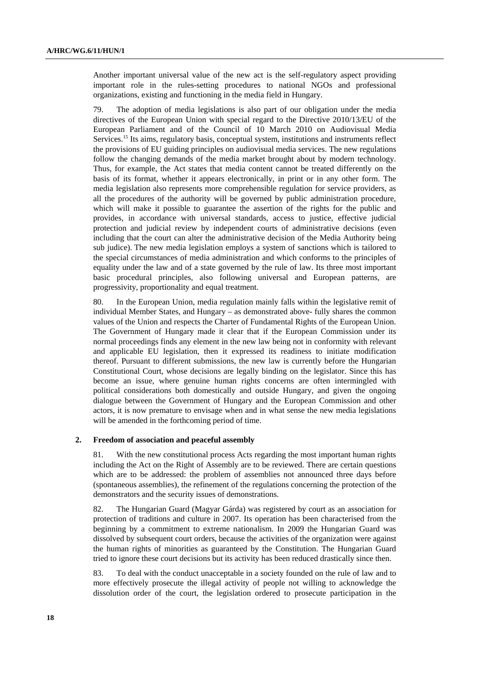Another important universal value of the new act is the self-regulatory aspect providing important role in the rules-setting procedures to national NGOs and professional organizations, existing and functioning in the media field in Hungary.

79. The adoption of media legislations is also part of our obligation under the media directives of the European Union with special regard to the Directive 2010/13/EU of the European Parliament and of the Council of 10 March 2010 on Audiovisual Media Services.<sup>15</sup> Its aims, regulatory basis, conceptual system, institutions and instruments reflect the provisions of EU guiding principles on audiovisual media services. The new regulations follow the changing demands of the media market brought about by modern technology. Thus, for example, the Act states that media content cannot be treated differently on the basis of its format, whether it appears electronically, in print or in any other form. The media legislation also represents more comprehensible regulation for service providers, as all the procedures of the authority will be governed by public administration procedure, which will make it possible to guarantee the assertion of the rights for the public and provides, in accordance with universal standards, access to justice, effective judicial protection and judicial review by independent courts of administrative decisions (even including that the court can alter the administrative decision of the Media Authority being sub judice). The new media legislation employs a system of sanctions which is tailored to the special circumstances of media administration and which conforms to the principles of equality under the law and of a state governed by the rule of law. Its three most important basic procedural principles, also following universal and European patterns, are progressivity, proportionality and equal treatment.

80. In the European Union, media regulation mainly falls within the legislative remit of individual Member States, and Hungary – as demonstrated above- fully shares the common values of the Union and respects the Charter of Fundamental Rights of the European Union. The Government of Hungary made it clear that if the European Commission under its normal proceedings finds any element in the new law being not in conformity with relevant and applicable EU legislation, then it expressed its readiness to initiate modification thereof. Pursuant to different submissions, the new law is currently before the Hungarian Constitutional Court, whose decisions are legally binding on the legislator. Since this has become an issue, where genuine human rights concerns are often intermingled with political considerations both domestically and outside Hungary, and given the ongoing dialogue between the Government of Hungary and the European Commission and other actors, it is now premature to envisage when and in what sense the new media legislations will be amended in the forthcoming period of time.

#### **2. Freedom of association and peaceful assembly**

81. With the new constitutional process Acts regarding the most important human rights including the Act on the Right of Assembly are to be reviewed. There are certain questions which are to be addressed: the problem of assemblies not announced three days before (spontaneous assemblies), the refinement of the regulations concerning the protection of the demonstrators and the security issues of demonstrations.

82. The Hungarian Guard (Magyar Gárda) was registered by court as an association for protection of traditions and culture in 2007. Its operation has been characterised from the beginning by a commitment to extreme nationalism. In 2009 the Hungarian Guard was dissolved by subsequent court orders, because the activities of the organization were against the human rights of minorities as guaranteed by the Constitution. The Hungarian Guard tried to ignore these court decisions but its activity has been reduced drastically since then.

83. To deal with the conduct unacceptable in a society founded on the rule of law and to more effectively prosecute the illegal activity of people not willing to acknowledge the dissolution order of the court, the legislation ordered to prosecute participation in the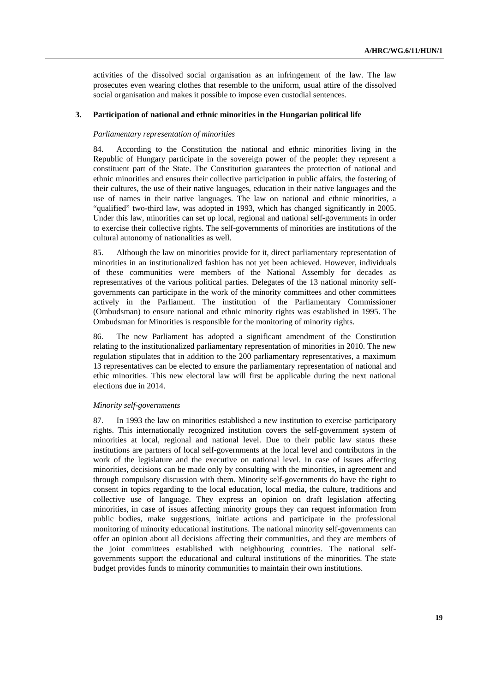activities of the dissolved social organisation as an infringement of the law. The law prosecutes even wearing clothes that resemble to the uniform, usual attire of the dissolved social organisation and makes it possible to impose even custodial sentences.

#### **3. Participation of national and ethnic minorities in the Hungarian political life**

#### *Parliamentary representation of minorities*

84. According to the Constitution the national and ethnic minorities living in the Republic of Hungary participate in the sovereign power of the people: they represent a constituent part of the State. The Constitution guarantees the protection of national and ethnic minorities and ensures their collective participation in public affairs, the fostering of their cultures, the use of their native languages, education in their native languages and the use of names in their native languages. The law on national and ethnic minorities, a "qualified" two-third law, was adopted in 1993, which has changed significantly in 2005. Under this law, minorities can set up local, regional and national self-governments in order to exercise their collective rights. The self-governments of minorities are institutions of the cultural autonomy of nationalities as well.

85. Although the law on minorities provide for it, direct parliamentary representation of minorities in an institutionalized fashion has not yet been achieved. However, individuals of these communities were members of the National Assembly for decades as representatives of the various political parties. Delegates of the 13 national minority selfgovernments can participate in the work of the minority committees and other committees actively in the Parliament. The institution of the Parliamentary Commissioner (Ombudsman) to ensure national and ethnic minority rights was established in 1995. The Ombudsman for Minorities is responsible for the monitoring of minority rights.

86. The new Parliament has adopted a significant amendment of the Constitution relating to the institutionalized parliamentary representation of minorities in 2010. The new regulation stipulates that in addition to the 200 parliamentary representatives, a maximum 13 representatives can be elected to ensure the parliamentary representation of national and ethic minorities. This new electoral law will first be applicable during the next national elections due in 2014.

#### *Minority self-governments*

87. In 1993 the law on minorities established a new institution to exercise participatory rights. This internationally recognized institution covers the self-government system of minorities at local, regional and national level. Due to their public law status these institutions are partners of local self-governments at the local level and contributors in the work of the legislature and the executive on national level. In case of issues affecting minorities, decisions can be made only by consulting with the minorities, in agreement and through compulsory discussion with them. Minority self-governments do have the right to consent in topics regarding to the local education, local media, the culture, traditions and collective use of language. They express an opinion on draft legislation affecting minorities, in case of issues affecting minority groups they can request information from public bodies, make suggestions, initiate actions and participate in the professional monitoring of minority educational institutions. The national minority self-governments can offer an opinion about all decisions affecting their communities, and they are members of the joint committees established with neighbouring countries. The national selfgovernments support the educational and cultural institutions of the minorities. The state budget provides funds to minority communities to maintain their own institutions.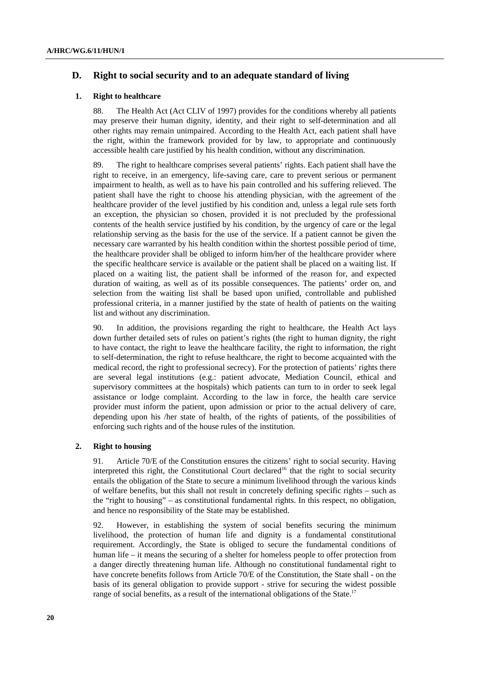# **D. Right to social security and to an adequate standard of living**

## **1. Right to healthcare**

88. The Health Act (Act CLIV of 1997) provides for the conditions whereby all patients may preserve their human dignity, identity, and their right to self-determination and all other rights may remain unimpaired. According to the Health Act, each patient shall have the right, within the framework provided for by law, to appropriate and continuously accessible health care justified by his health condition, without any discrimination.

89. The right to healthcare comprises several patients' rights. Each patient shall have the right to receive, in an emergency, life-saving care, care to prevent serious or permanent impairment to health, as well as to have his pain controlled and his suffering relieved. The patient shall have the right to choose his attending physician, with the agreement of the healthcare provider of the level justified by his condition and, unless a legal rule sets forth an exception, the physician so chosen, provided it is not precluded by the professional contents of the health service justified by his condition, by the urgency of care or the legal relationship serving as the basis for the use of the service. If a patient cannot be given the necessary care warranted by his health condition within the shortest possible period of time, the healthcare provider shall be obliged to inform him/her of the healthcare provider where the specific healthcare service is available or the patient shall be placed on a waiting list. If placed on a waiting list, the patient shall be informed of the reason for, and expected duration of waiting, as well as of its possible consequences. The patients' order on, and selection from the waiting list shall be based upon unified, controllable and published professional criteria, in a manner justified by the state of health of patients on the waiting list and without any discrimination.

90. In addition, the provisions regarding the right to healthcare, the Health Act lays down further detailed sets of rules on patient's rights (the right to human dignity, the right to have contact, the right to leave the healthcare facility, the right to information, the right to self-determination, the right to refuse healthcare, the right to become acquainted with the medical record, the right to professional secrecy). For the protection of patients' rights there are several legal institutions (e.g.: patient advocate, Mediation Council, ethical and supervisory committees at the hospitals) which patients can turn to in order to seek legal assistance or lodge complaint. According to the law in force, the health care service provider must inform the patient, upon admission or prior to the actual delivery of care, depending upon his /her state of health, of the rights of patients, of the possibilities of enforcing such rights and of the house rules of the institution.

## **2. Right to housing**

91. Article 70/E of the Constitution ensures the citizens' right to social security. Having interpreted this right, the Constitutional Court declared<sup>16</sup> that the right to social security entails the obligation of the State to secure a minimum livelihood through the various kinds of welfare benefits, but this shall not result in concretely defining specific rights – such as the "right to housing" – as constitutional fundamental rights. In this respect, no obligation, and hence no responsibility of the State may be established.

92. However, in establishing the system of social benefits securing the minimum livelihood, the protection of human life and dignity is a fundamental constitutional requirement. Accordingly, the State is obliged to secure the fundamental conditions of human life – it means the securing of a shelter for homeless people to offer protection from a danger directly threatening human life. Although no constitutional fundamental right to have concrete benefits follows from Article 70/E of the Constitution, the State shall - on the basis of its general obligation to provide support - strive for securing the widest possible range of social benefits, as a result of the international obligations of the State.<sup>17</sup>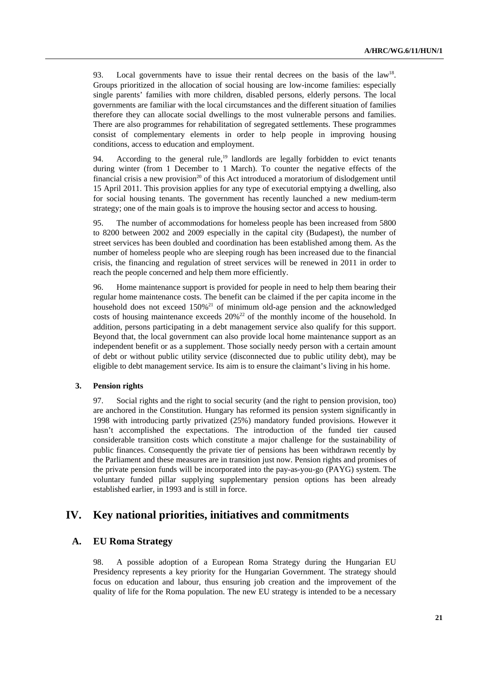93. Local governments have to issue their rental decrees on the basis of the law<sup>18</sup>. Groups prioritized in the allocation of social housing are low-income families: especially single parents' families with more children, disabled persons, elderly persons. The local governments are familiar with the local circumstances and the different situation of families therefore they can allocate social dwellings to the most vulnerable persons and families. There are also programmes for rehabilitation of segregated settlements. These programmes consist of complementary elements in order to help people in improving housing conditions, access to education and employment.

94. According to the general rule,  $19$  landlords are legally forbidden to evict tenants during winter (from 1 December to 1 March). To counter the negative effects of the financial crisis a new provision<sup>20</sup> of this Act introduced a moratorium of dislodgement until 15 April 2011. This provision applies for any type of executorial emptying a dwelling, also for social housing tenants. The government has recently launched a new medium-term strategy; one of the main goals is to improve the housing sector and access to housing.

95. The number of accommodations for homeless people has been increased from 5800 to 8200 between 2002 and 2009 especially in the capital city (Budapest), the number of street services has been doubled and coordination has been established among them. As the number of homeless people who are sleeping rough has been increased due to the financial crisis, the financing and regulation of street services will be renewed in 2011 in order to reach the people concerned and help them more efficiently.

96. Home maintenance support is provided for people in need to help them bearing their regular home maintenance costs. The benefit can be claimed if the per capita income in the household does not exceed  $150\%$ <sup>21</sup> of minimum old-age pension and the acknowledged costs of housing maintenance exceeds  $20\%^{22}$  of the monthly income of the household. In addition, persons participating in a debt management service also qualify for this support. Beyond that, the local government can also provide local home maintenance support as an independent benefit or as a supplement. Those socially needy person with a certain amount of debt or without public utility service (disconnected due to public utility debt), may be eligible to debt management service. Its aim is to ensure the claimant's living in his home.

## **3. Pension rights**

97. Social rights and the right to social security (and the right to pension provision, too) are anchored in the Constitution. Hungary has reformed its pension system significantly in 1998 with introducing partly privatized (25%) mandatory funded provisions. However it hasn't accomplished the expectations. The introduction of the funded tier caused considerable transition costs which constitute a major challenge for the sustainability of public finances. Consequently the private tier of pensions has been withdrawn recently by the Parliament and these measures are in transition just now. Pension rights and promises of the private pension funds will be incorporated into the pay-as-you-go (PAYG) system. The voluntary funded pillar supplying supplementary pension options has been already established earlier, in 1993 and is still in force.

# **IV. Key national priorities, initiatives and commitments**

# **A. EU Roma Strategy**

98. A possible adoption of a European Roma Strategy during the Hungarian EU Presidency represents a key priority for the Hungarian Government. The strategy should focus on education and labour, thus ensuring job creation and the improvement of the quality of life for the Roma population. The new EU strategy is intended to be a necessary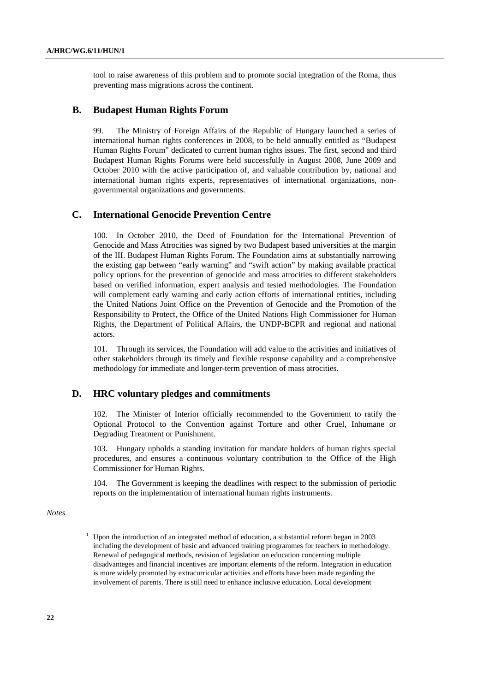tool to raise awareness of this problem and to promote social integration of the Roma, thus preventing mass migrations across the continent.

# **B. Budapest Human Rights Forum**

99. The Ministry of Foreign Affairs of the Republic of Hungary launched a series of international human rights conferences in 2008, to be held annually entitled as "Budapest Human Rights Forum" dedicated to current human rights issues. The first, second and third Budapest Human Rights Forums were held successfully in August 2008, June 2009 and October 2010 with the active participation of, and valuable contribution by, national and international human rights experts, representatives of international organizations, nongovernmental organizations and governments.

# **C. International Genocide Prevention Centre**

100. In October 2010, the Deed of Foundation for the International Prevention of Genocide and Mass Atrocities was signed by two Budapest based universities at the margin of the III. Budapest Human Rights Forum. The Foundation aims at substantially narrowing the existing gap between "early warning" and "swift action" by making available practical policy options for the prevention of genocide and mass atrocities to different stakeholders based on verified information, expert analysis and tested methodologies. The Foundation will complement early warning and early action efforts of international entities, including the United Nations Joint Office on the Prevention of Genocide and the Promotion of the Responsibility to Protect, the Office of the United Nations High Commissioner for Human Rights, the Department of Political Affairs, the UNDP-BCPR and regional and national actors.

101. Through its services, the Foundation will add value to the activities and initiatives of other stakeholders through its timely and flexible response capability and a comprehensive methodology for immediate and longer-term prevention of mass atrocities.

# **D. HRC voluntary pledges and commitments**

102. The Minister of Interior officially recommended to the Government to ratify the Optional Protocol to the Convention against Torture and other Cruel, Inhumane or Degrading Treatment or Punishment.

103. Hungary upholds a standing invitation for mandate holders of human rights special procedures, and ensures a continuous voluntary contribution to the Office of the High Commissioner for Human Rights.

104. The Government is keeping the deadlines with respect to the submission of periodic reports on the implementation of international human rights instruments.

*Notes* 

<sup>1</sup> Upon the introduction of an integrated method of education, a substantial reform began in 2003 including the development of basic and advanced training programmes for teachers in methodology. Renewal of pedagogical methods, revision of legislation on education concerning multiple disadvanteges and financial incentives are important elements of the reform. Integration in education is more widely promoted by extracurricular activities and efforts have been made regarding the involvement of parents. There is still need to enhance inclusive education. Local development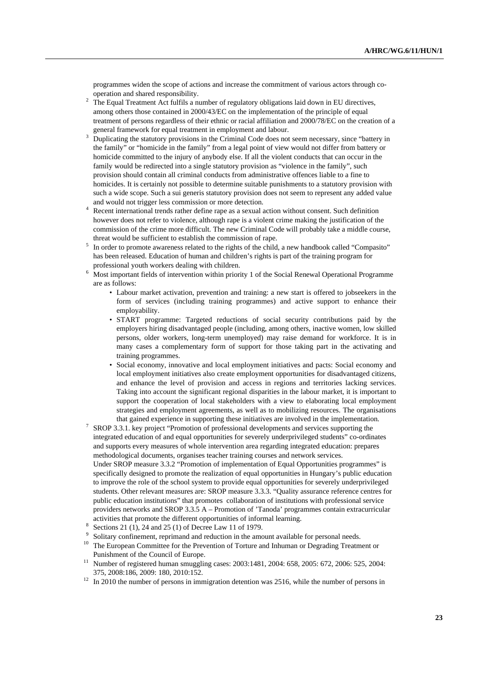programmes widen the scope of actions and increase the commitment of various actors through cooperation and shared responsibility.

- The Equal Treatment Act fulfils a number of regulatory obligations laid down in EU directives, among others those contained in 2000/43/EC on the implementation of the principle of equal treatment of persons regardless of their ethnic or racial affiliation and 2000/78/EC on the creation of a general framework for equal treatment in employment and labour.
- Duplicating the statutory provisions in the Criminal Code does not seem necessary, since "battery in the family" or "homicide in the family" from a legal point of view would not differ from battery or homicide committed to the injury of anybody else. If all the violent conducts that can occur in the family would be redirected into a single statutory provision as "violence in the family", such provision should contain all criminal conducts from administrative offences liable to a fine to homicides. It is certainly not possible to determine suitable punishments to a statutory provision with such a wide scope. Such a sui generis statutory provision does not seem to represent any added value and would not trigger less commission or more detection.
- Recent international trends rather define rape as a sexual action without consent. Such definition however does not refer to violence, although rape is a violent crime making the justification of the commission of the crime more difficult. The new Criminal Code will probably take a middle course, threat would be sufficient to establish the commission of rape. 5
- <sup>5</sup> In order to promote awareness related to the rights of the child, a new handbook called "Compasito" has been released. Education of human and children's rights is part of the training program for professional youth workers dealing with children. 6
- <sup>6</sup> Most important fields of intervention within priority 1 of the Social Renewal Operational Programme are as follows:
	- Labour market activation, prevention and training: a new start is offered to jobseekers in the form of services (including training programmes) and active support to enhance their employability.
	- START programme: Targeted reductions of social security contributions paid by the employers hiring disadvantaged people (including, among others, inactive women, low skilled persons, older workers, long-term unemployed) may raise demand for workforce. It is in many cases a complementary form of support for those taking part in the activating and training programmes.
	- Social economy, innovative and local employment initiatives and pacts: Social economy and local employment initiatives also create employment opportunities for disadvantaged citizens, and enhance the level of provision and access in regions and territories lacking services. Taking into account the significant regional disparities in the labour market, it is important to support the cooperation of local stakeholders with a view to elaborating local employment strategies and employment agreements, as well as to mobilizing resources. The organisations
- that gained experience in supporting these initiatives are involved in the implementation.<br><sup>7</sup> SROP 3.3.1. key project "Promotion of professional developments and services supporting the integrated education of and equal opportunities for severely underprivileged students" co-ordinates and supports every measures of whole intervention area regarding integrated education: prepares methodological documents, organises teacher training courses and network services.

 Under SROP measure 3.3.2 "Promotion of implementation of Equal Opportunities programmes" is specifically designed to promote the realization of equal opportunities in Hungary's public education to improve the role of the school system to provide equal opportunities for severely underprivileged students. Other relevant measures are: SROP measure 3.3.3. "Quality assurance reference centres for public education institutions" that promotes collaboration of institutions with professional service providers networks and SROP 3.3.5 A – Promotion of 'Tanoda' programmes contain extracurricular activities that promote the different opportunities of informal learning.<br><sup>8</sup> Sections 21 (1) 24 and 25 (1) of Decree Law 11 of 1979

- Sections 21 (1), 24 and 25 (1) of Decree Law 11 of 1979.
- 9
- $\frac{9}{10}$  Solitary confinement, reprimand and reduction in the amount available for personal needs.<br><sup>10</sup> The European Committee for the Prevention of Torture and Inhuman or Degrading Treatment or Punishment of the Council of Europe.<br><sup>11</sup> Number of registered human smuggling cases: 2003:1481, 2004: 658, 2005: 672, 2006: 525, 2004:
- 375, 2008:186, 2009: 180, 2010:152. 12 In 2010 the number of persons in immigration detention was 2516, while the number of persons in
-